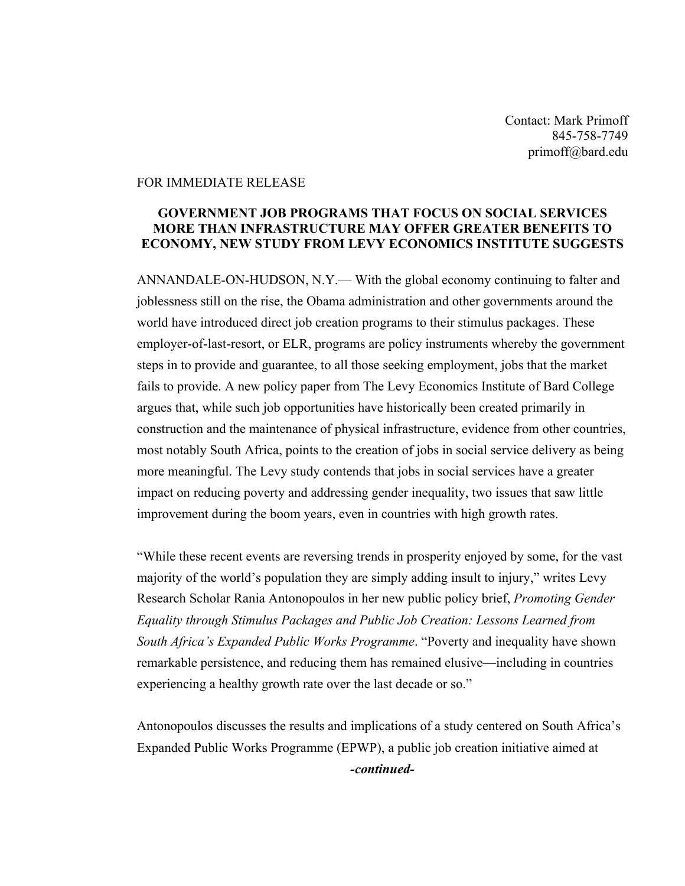Contact: Mark Primoff 845-758-7749 primoff@bard.edu

## FOR IMMEDIATE RELEASE

## **GOVERNMENT JOB PROGRAMS THAT FOCUS ON SOCIAL SERVICES MORE THAN INFRASTRUCTURE MAY OFFER GREATER BENEFITS TO ECONOMY, NEW STUDY FROM LEVY ECONOMICS INSTITUTE SUGGESTS**

ANNANDALE-ON-HUDSON, N.Y.— With the global economy continuing to falter and joblessness still on the rise, the Obama administration and other governments around the world have introduced direct job creation programs to their stimulus packages. These employer-of-last-resort, or ELR, programs are policy instruments whereby the government steps in to provide and guarantee, to all those seeking employment, jobs that the market fails to provide. A new policy paper from The Levy Economics Institute of Bard College argues that, while such job opportunities have historically been created primarily in construction and the maintenance of physical infrastructure, evidence from other countries, most notably South Africa, points to the creation of jobs in social service delivery as being more meaningful. The Levy study contends that jobs in social services have a greater impact on reducing poverty and addressing gender inequality, two issues that saw little improvement during the boom years, even in countries with high growth rates.

"While these recent events are reversing trends in prosperity enjoyed by some, for the vast majority of the world's population they are simply adding insult to injury," writes Levy Research Scholar Rania Antonopoulos in her new public policy brief, *Promoting Gender Equality through Stimulus Packages and Public Job Creation: Lessons Learned from South Africa's Expanded Public Works Programme*. "Poverty and inequality have shown remarkable persistence, and reducing them has remained elusive—including in countries experiencing a healthy growth rate over the last decade or so."

Antonopoulos discusses the results and implications of a study centered on South Africa's Expanded Public Works Programme (EPWP), a public job creation initiative aimed at *-continued-*